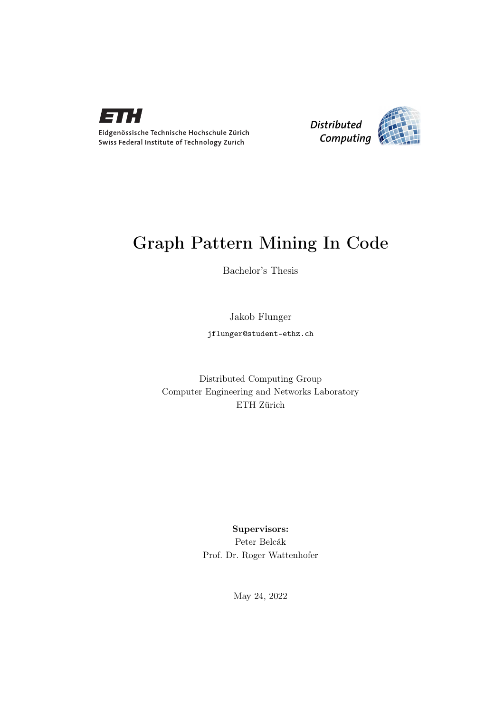

Eidgenössische Technische Hochschule Zürich Swiss Federal Institute of Technology Zurich



# Graph Pattern Mining In Code

Bachelor's Thesis

Jakob Flunger

jflunger@student-ethz.ch

Distributed Computing Group Computer Engineering and Networks Laboratory ETH Zürich

> Supervisors: Peter Belcák Prof. Dr. Roger Wattenhofer

> > May 24, 2022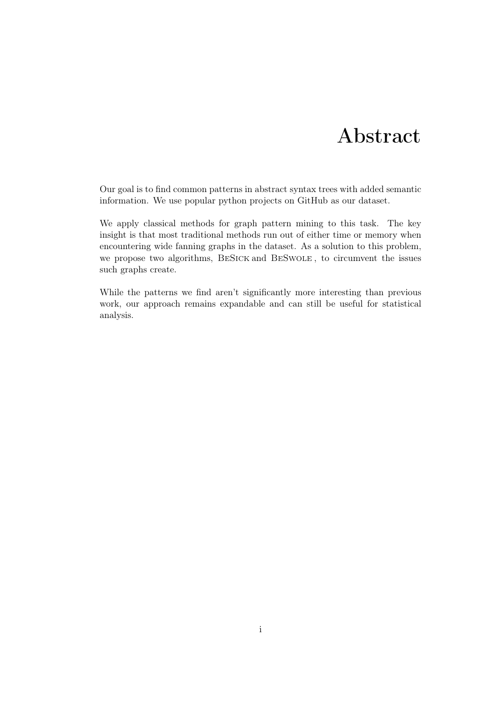# Abstract

<span id="page-1-0"></span>Our goal is to find common patterns in abstract syntax trees with added semantic information. We use popular python projects on GitHub as our dataset.

We apply classical methods for graph pattern mining to this task. The key insight is that most traditional methods run out of either time or memory when encountering wide fanning graphs in the dataset. As a solution to this problem, we propose two algorithms, BeSick and BeSwole , to circumvent the issues such graphs create.

While the patterns we find aren't significantly more interesting than previous work, our approach remains expandable and can still be useful for statistical analysis.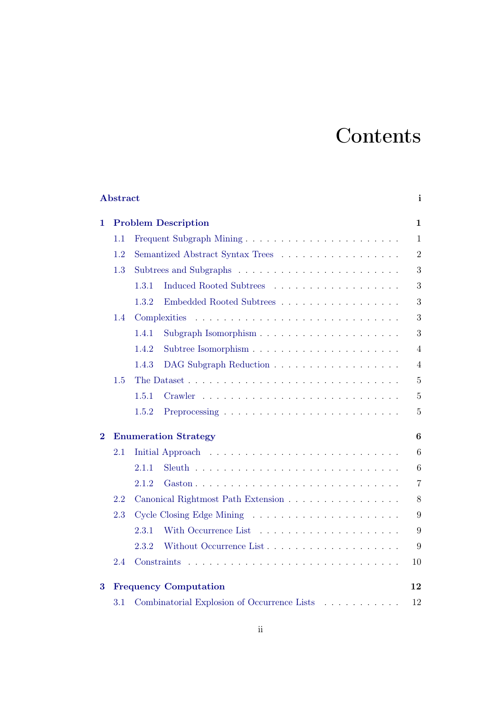# **Contents**

| Abstract<br>i                           |                                           |                                                                                                                                                                                                                                                   |                |  |  |
|-----------------------------------------|-------------------------------------------|---------------------------------------------------------------------------------------------------------------------------------------------------------------------------------------------------------------------------------------------------|----------------|--|--|
| <b>Problem Description</b><br>1.        |                                           |                                                                                                                                                                                                                                                   |                |  |  |
|                                         | 1.1                                       |                                                                                                                                                                                                                                                   | $\mathbf{1}$   |  |  |
| 1.2<br>Semantized Abstract Syntax Trees |                                           |                                                                                                                                                                                                                                                   | $\overline{2}$ |  |  |
|                                         | 1.3                                       |                                                                                                                                                                                                                                                   | 3              |  |  |
|                                         |                                           | 1.3.1                                                                                                                                                                                                                                             | 3              |  |  |
|                                         |                                           | 1.3.2<br>Embedded Rooted Subtrees                                                                                                                                                                                                                 | 3              |  |  |
| 1.4                                     |                                           |                                                                                                                                                                                                                                                   | 3              |  |  |
|                                         |                                           | 1.4.1                                                                                                                                                                                                                                             | $\sqrt{3}$     |  |  |
|                                         |                                           | 1.4.2                                                                                                                                                                                                                                             | $\overline{4}$ |  |  |
|                                         |                                           | 1.4.3<br>DAG Subgraph Reduction                                                                                                                                                                                                                   | $\overline{4}$ |  |  |
|                                         | 1.5                                       | The Dataset                                                                                                                                                                                                                                       | $\overline{5}$ |  |  |
|                                         |                                           | 1.5.1<br>Crawler<br>and a construction of the construction of the construction of the construction of the construction of the construction of the construction of the construction of the construction of the construction of the construction of | $\overline{5}$ |  |  |
|                                         |                                           | 1.5.2                                                                                                                                                                                                                                             | $\overline{5}$ |  |  |
| $\bf{2}$                                | <b>Enumeration Strategy</b>               |                                                                                                                                                                                                                                                   |                |  |  |
|                                         | 2.1                                       |                                                                                                                                                                                                                                                   | 6              |  |  |
|                                         |                                           | 2.1.1                                                                                                                                                                                                                                             | 6              |  |  |
|                                         |                                           | 2.1.2                                                                                                                                                                                                                                             | $\overline{7}$ |  |  |
|                                         | 2.2<br>Canonical Rightmost Path Extension |                                                                                                                                                                                                                                                   | 8              |  |  |
|                                         | 2.3                                       |                                                                                                                                                                                                                                                   | 9              |  |  |
|                                         |                                           | 2.3.1                                                                                                                                                                                                                                             | 9              |  |  |
|                                         |                                           | 2.3.2                                                                                                                                                                                                                                             | 9              |  |  |
|                                         | 2.4                                       |                                                                                                                                                                                                                                                   | 10             |  |  |
| 3                                       | <b>Frequency Computation</b>              |                                                                                                                                                                                                                                                   | 12             |  |  |
|                                         | 3.1                                       | Combinatorial Explosion of Occurrence Lists                                                                                                                                                                                                       | 12             |  |  |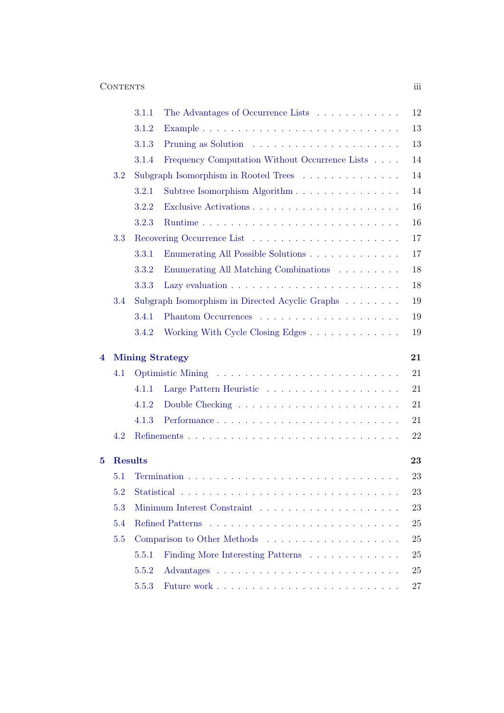|            |         | 3.1.1                                      | The Advantages of Occurrence Lists                                     | 12 |  |  |  |  |  |
|------------|---------|--------------------------------------------|------------------------------------------------------------------------|----|--|--|--|--|--|
|            |         | 3.1.2                                      |                                                                        | 13 |  |  |  |  |  |
|            |         | 3.1.3                                      |                                                                        | 13 |  |  |  |  |  |
|            |         | 3.1.4                                      | Frequency Computation Without Occurrence Lists                         | 14 |  |  |  |  |  |
|            | $3.2\,$ | Subgraph Isomorphism in Rooted Trees<br>14 |                                                                        |    |  |  |  |  |  |
|            |         | 3.2.1                                      | Subtree Isomorphism Algorithm                                          | 14 |  |  |  |  |  |
|            |         | 3.2.2                                      |                                                                        | 16 |  |  |  |  |  |
|            |         | 3.2.3                                      |                                                                        | 16 |  |  |  |  |  |
|            | 3.3     |                                            | 17                                                                     |    |  |  |  |  |  |
|            |         | 3.3.1                                      | Enumerating All Possible Solutions                                     | 17 |  |  |  |  |  |
|            |         | 3.3.2                                      | Enumerating All Matching Combinations                                  | 18 |  |  |  |  |  |
|            |         | 3.3.3                                      |                                                                        | 18 |  |  |  |  |  |
|            | 3.4     |                                            | Subgraph Isomorphism in Directed Acyclic Graphs $\ldots \ldots \ldots$ | 19 |  |  |  |  |  |
|            |         | 3.4.1                                      |                                                                        | 19 |  |  |  |  |  |
|            |         | 3.4.2                                      |                                                                        | 19 |  |  |  |  |  |
| 4          |         | <b>Mining Strategy</b>                     | 21                                                                     |    |  |  |  |  |  |
|            | 4.1     |                                            |                                                                        | 21 |  |  |  |  |  |
|            |         | 4.1.1                                      |                                                                        | 21 |  |  |  |  |  |
|            |         | 4.1.2                                      |                                                                        | 21 |  |  |  |  |  |
|            |         | 4.1.3                                      |                                                                        | 21 |  |  |  |  |  |
|            | 4.2     |                                            |                                                                        | 22 |  |  |  |  |  |
| 5          |         | <b>Results</b><br>23                       |                                                                        |    |  |  |  |  |  |
|            | 5.1     |                                            |                                                                        |    |  |  |  |  |  |
|            | 5.2     |                                            |                                                                        |    |  |  |  |  |  |
| 5.3<br>5.4 |         |                                            |                                                                        | 23 |  |  |  |  |  |
|            |         |                                            |                                                                        | 25 |  |  |  |  |  |
|            | 5.5     |                                            |                                                                        | 25 |  |  |  |  |  |
|            |         | 5.5.1                                      | Finding More Interesting Patterns                                      | 25 |  |  |  |  |  |
|            |         | 5.5.2                                      |                                                                        | 25 |  |  |  |  |  |
|            |         | 5.5.3                                      |                                                                        | 27 |  |  |  |  |  |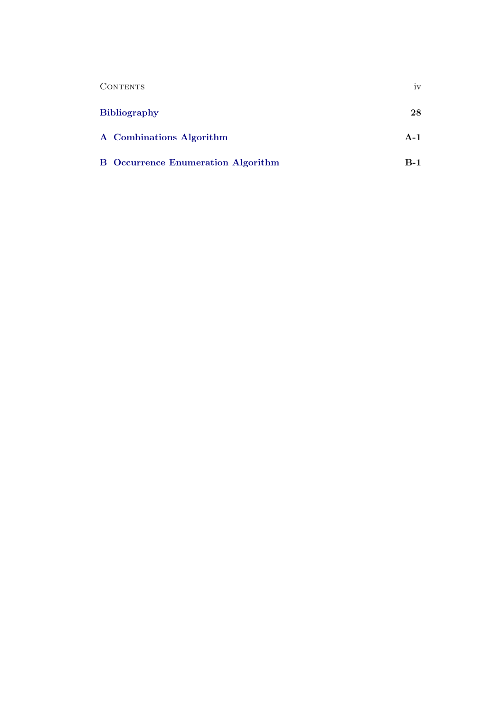| <b>CONTENTS</b>                           | iv    |
|-------------------------------------------|-------|
| <b>Bibliography</b>                       | 28    |
| A Combinations Algorithm                  | $A-1$ |
| <b>B</b> Occurrence Enumeration Algorithm | $B-1$ |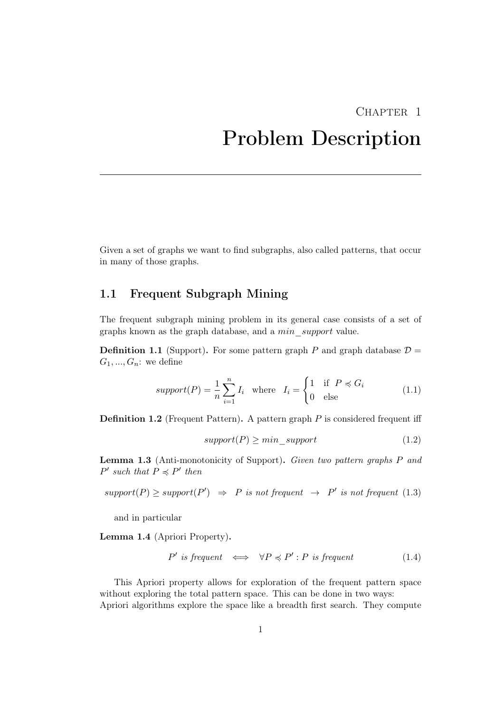# <span id="page-5-0"></span>CHAPTER<sub>1</sub> Problem Description

Given a set of graphs we want to find subgraphs, also called patterns, that occur in many of those graphs.

# <span id="page-5-1"></span>1.1 Frequent Subgraph Mining

The frequent subgraph mining problem in its general case consists of a set of graphs known as the graph database, and a min\_support value.

**Definition 1.1** (Support). For some pattern graph P and graph database  $\mathcal{D} =$  $G_1, ..., G_n$ : we define

$$
support(P) = \frac{1}{n} \sum_{i=1}^{n} I_i \quad \text{where} \quad I_i = \begin{cases} 1 & \text{if } P \preccurlyeq G_i \\ 0 & \text{else} \end{cases} \tag{1.1}
$$

**Definition 1.2** (Frequent Pattern). A pattern graph  $P$  is considered frequent iff

$$
support(P) \geq min\_support
$$
\n(1.2)

Lemma 1.3 (Anti-monotonicity of Support). Given two pattern graphs P and  $P'$  such that  $P \preccurlyeq P'$  then

$$
support(P) \ge support(P') \Rightarrow P \text{ is not frequent } \rightarrow P' \text{ is not frequent } (1.3)
$$

and in particular

Lemma 1.4 (Apriori Property).

$$
P' \text{ is frequent } \iff \forall P \preccurlyeq P' : P \text{ is frequent} \tag{1.4}
$$

This Apriori property allows for exploration of the frequent pattern space without exploring the total pattern space. This can be done in two ways: Apriori algorithms explore the space like a breadth first search. They compute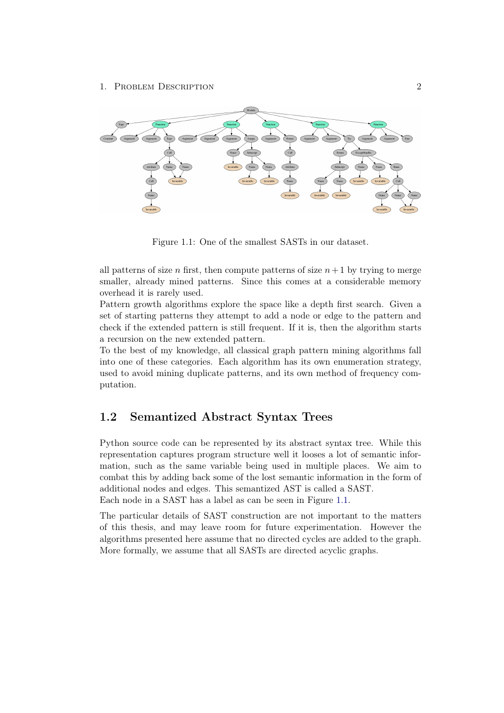

<span id="page-6-1"></span>Figure 1.1: One of the smallest SASTs in our dataset.

all patterns of size n first, then compute patterns of size  $n+1$  by trying to merge smaller, already mined patterns. Since this comes at a considerable memory overhead it is rarely used.

Pattern growth algorithms explore the space like a depth first search. Given a set of starting patterns they attempt to add a node or edge to the pattern and check if the extended pattern is still frequent. If it is, then the algorithm starts a recursion on the new extended pattern.

To the best of my knowledge, all classical graph pattern mining algorithms fall into one of these categories. Each algorithm has its own enumeration strategy, used to avoid mining duplicate patterns, and its own method of frequency computation.

# <span id="page-6-0"></span>1.2 Semantized Abstract Syntax Trees

Python source code can be represented by its abstract syntax tree. While this representation captures program structure well it looses a lot of semantic information, such as the same variable being used in multiple places. We aim to combat this by adding back some of the lost semantic information in the form of additional nodes and edges. This semantized AST is called a SAST. Each node in a SAST has a label as can be seen in Figure [1.1.](#page-6-1)

The particular details of SAST construction are not important to the matters of this thesis, and may leave room for future experimentation. However the algorithms presented here assume that no directed cycles are added to the graph. More formally, we assume that all SASTs are directed acyclic graphs.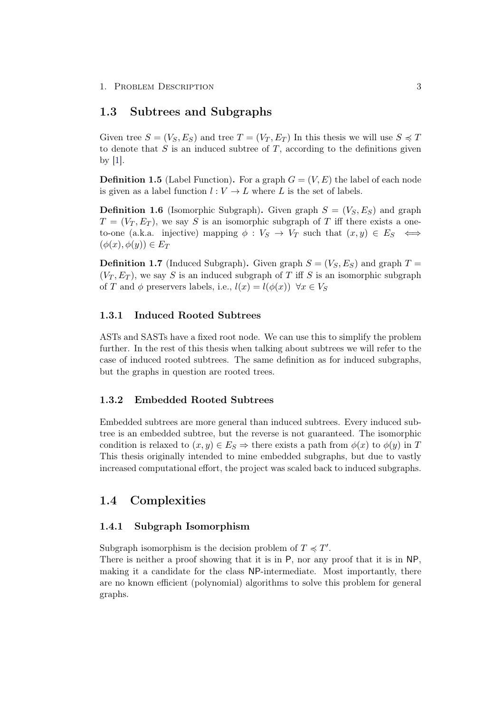1. PROBLEM DESCRIPTION 3

## <span id="page-7-0"></span>1.3 Subtrees and Subgraphs

Given tree  $S = (V_S, E_S)$  and tree  $T = (V_T, E_T)$  In this thesis we will use  $S \preccurlyeq T$ to denote that  $S$  is an induced subtree of  $T$ , according to the definitions given by [\[1\]](#page-32-1).

**Definition 1.5** (Label Function). For a graph  $G = (V, E)$  the label of each node is given as a label function  $l: V \to L$  where L is the set of labels.

**Definition 1.6** (Isomorphic Subgraph). Given graph  $S = (V_S, E_S)$  and graph  $T = (V_T, E_T)$ , we say S is an isomorphic subgraph of T iff there exists a oneto-one (a.k.a. injective) mapping  $\phi: V_S \to V_T$  such that  $(x, y) \in E_S \iff$  $(\phi(x), \phi(y)) \in E_T$ 

**Definition 1.7** (Induced Subgraph). Given graph  $S = (V_S, E_S)$  and graph  $T =$  $(V_T, E_T)$ , we say S is an induced subgraph of T iff S is an isomorphic subgraph of T and  $\phi$  preservers labels, i.e.,  $l(x) = l(\phi(x)) \ \forall x \in V_S$ 

## <span id="page-7-1"></span>1.3.1 Induced Rooted Subtrees

ASTs and SASTs have a fixed root node. We can use this to simplify the problem further. In the rest of this thesis when talking about subtrees we will refer to the case of induced rooted subtrees. The same definition as for induced subgraphs, but the graphs in question are rooted trees.

## <span id="page-7-2"></span>1.3.2 Embedded Rooted Subtrees

Embedded subtrees are more general than induced subtrees. Every induced subtree is an embedded subtree, but the reverse is not guaranteed. The isomorphic condition is relaxed to  $(x, y) \in E_S \Rightarrow$  there exists a path from  $\phi(x)$  to  $\phi(y)$  in T This thesis originally intended to mine embedded subgraphs, but due to vastly increased computational effort, the project was scaled back to induced subgraphs.

# <span id="page-7-3"></span>1.4 Complexities

## <span id="page-7-4"></span>1.4.1 Subgraph Isomorphism

Subgraph isomorphism is the decision problem of  $T \preccurlyeq T'$ .

There is neither a proof showing that it is in P, nor any proof that it is in NP, making it a candidate for the class NP-intermediate. Most importantly, there are no known efficient (polynomial) algorithms to solve this problem for general graphs.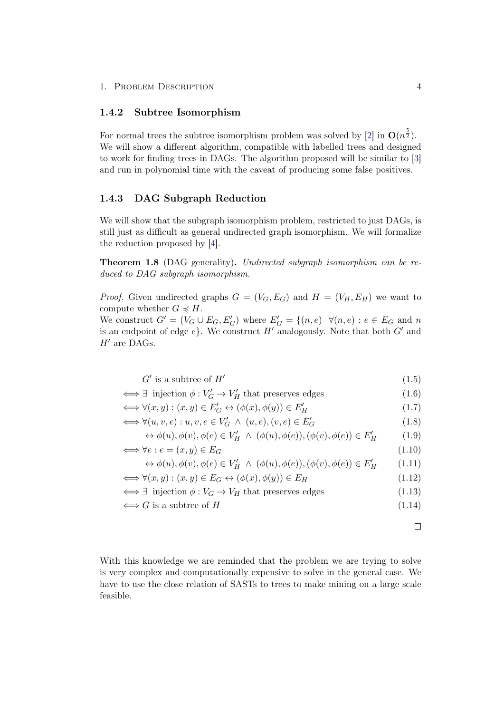### <span id="page-8-0"></span>1.4.2 Subtree Isomorphism

For normal trees the subtree isomorphism problem was solved by [\[2\]](#page-32-2) in  $O(n^{\frac{5}{2}})$ . We will show a different algorithm, compatible with labelled trees and designed to work for finding trees in DAGs. The algorithm proposed will be similar to [\[3\]](#page-32-3) and run in polynomial time with the caveat of producing some false positives.

## <span id="page-8-1"></span>1.4.3 DAG Subgraph Reduction

We will show that the subgraph isomorphism problem, restricted to just DAGs, is still just as difficult as general undirected graph isomorphism. We will formalize the reduction proposed by [\[4\]](#page-32-4).

Theorem 1.8 (DAG generality). Undirected subgraph isomorphism can be reduced to DAG subgraph isomorphism.

*Proof.* Given undirected graphs  $G = (V_G, E_G)$  and  $H = (V_H, E_H)$  we want to compute whether  $G \preccurlyeq H$ . We construct  $G' = (V_G \cup E_G, E'_G)$  where  $E'_G = \{(n, e) \ \forall (n, e) : e \in E_G \text{ and } n\}$ is an endpoint of edge  $e$ . We construct H' analogously. Note that both  $G'$  and  $H'$  are DAGs.

$$
G' \text{ is a subtree of } H' \tag{1.5}
$$

$$
\iff \exists \text{ injection } \phi : V'_G \to V'_H \text{ that preserves edges } (1.6)
$$

$$
\iff \forall (x, y) : (x, y) \in E'_G \leftrightarrow (\phi(x), \phi(y)) \in E'_H \tag{1.7}
$$

$$
\iff \forall (u, v, e) : u, v, e \in V'_G \land (u, e), (v, e) \in E'_G \tag{1.8}
$$

$$
\leftrightarrow \phi(u), \phi(v), \phi(e) \in V'_H \land (\phi(u), \phi(e)), (\phi(v), \phi(e)) \in E'_H \tag{1.9}
$$

$$
\iff \forall e : e = (x, y) \in E_G \tag{1.10}
$$

$$
\leftrightarrow \phi(u), \phi(v), \phi(e) \in V'_H \land (\phi(u), \phi(e)), (\phi(v), \phi(e)) \in E'_H \tag{1.11}
$$

$$
\iff \forall (x, y) : (x, y) \in E_G \leftrightarrow (\phi(x), \phi(y)) \in E_H \tag{1.12}
$$

 $\iff \exists$  injection  $\phi: V_G \to V_H$  that preserves edges (1.13)

$$
\iff G \text{ is a subtree of } H \tag{1.14}
$$

 $\Box$ 

With this knowledge we are reminded that the problem we are trying to solve is very complex and computationally expensive to solve in the general case. We have to use the close relation of SASTs to trees to make mining on a large scale feasible.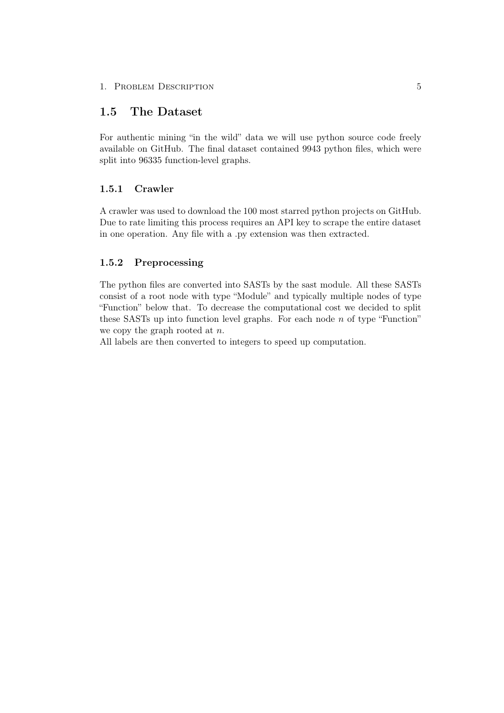## 1. PROBLEM DESCRIPTION 5

# <span id="page-9-0"></span>1.5 The Dataset

For authentic mining "in the wild" data we will use python source code freely available on GitHub. The final dataset contained 9943 python files, which were split into 96335 function-level graphs.

## <span id="page-9-1"></span>1.5.1 Crawler

A crawler was used to download the 100 most starred python projects on GitHub. Due to rate limiting this process requires an API key to scrape the entire dataset in one operation. Any file with a .py extension was then extracted.

## <span id="page-9-2"></span>1.5.2 Preprocessing

The python files are converted into SASTs by the sast module. All these SASTs consist of a root node with type "Module" and typically multiple nodes of type "Function" below that. To decrease the computational cost we decided to split these SASTs up into function level graphs. For each node  $n$  of type "Function" we copy the graph rooted at  $n$ .

All labels are then converted to integers to speed up computation.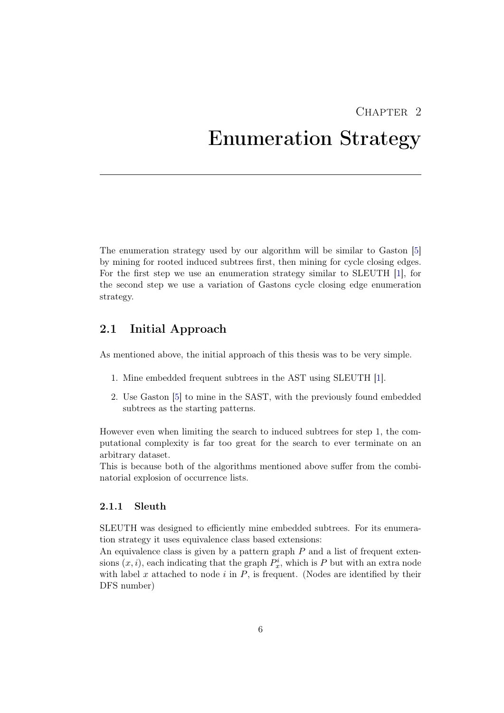# $CHAPTER$  2

# <span id="page-10-0"></span>Enumeration Strategy

The enumeration strategy used by our algorithm will be similar to Gaston [\[5\]](#page-32-5) by mining for rooted induced subtrees first, then mining for cycle closing edges. For the first step we use an enumeration strategy similar to SLEUTH [\[1\]](#page-32-1), for the second step we use a variation of Gastons cycle closing edge enumeration strategy.

# <span id="page-10-1"></span>2.1 Initial Approach

As mentioned above, the initial approach of this thesis was to be very simple.

- 1. Mine embedded frequent subtrees in the AST using SLEUTH [\[1\]](#page-32-1).
- 2. Use Gaston [\[5\]](#page-32-5) to mine in the SAST, with the previously found embedded subtrees as the starting patterns.

However even when limiting the search to induced subtrees for step 1, the computational complexity is far too great for the search to ever terminate on an arbitrary dataset.

This is because both of the algorithms mentioned above suffer from the combinatorial explosion of occurrence lists.

## <span id="page-10-2"></span>2.1.1 Sleuth

SLEUTH was designed to efficiently mine embedded subtrees. For its enumeration strategy it uses equivalence class based extensions:

An equivalence class is given by a pattern graph  $P$  and a list of frequent extensions  $(x, i)$ , each indicating that the graph  $P_x^i$ , which is P but with an extra node with label  $x$  attached to node  $i$  in  $P$ , is frequent. (Nodes are identified by their DFS number)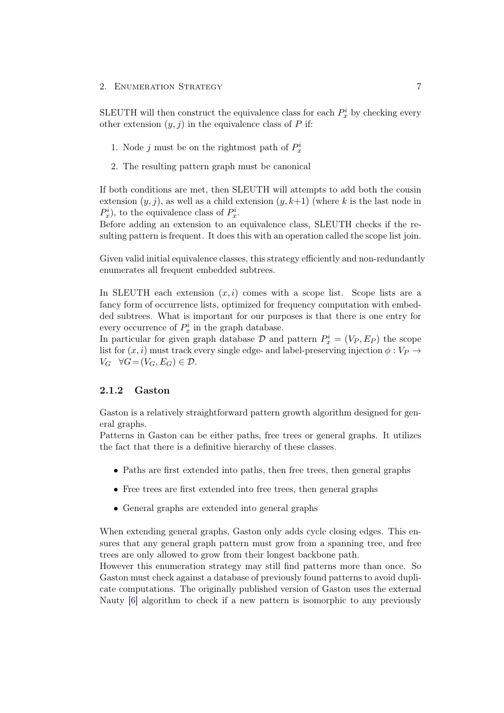SLEUTH will then construct the equivalence class for each  $P_x^i$  by checking every other extension  $(y, j)$  in the equivalence class of P if:

- 1. Node *j* must be on the rightmost path of  $P_x^i$
- 2. The resulting pattern graph must be canonical

If both conditions are met, then SLEUTH will attempts to add both the cousin extension  $(y, j)$ , as well as a child extension  $(y, k+1)$  (where k is the last node in  $P_x^i$ , to the equivalence class of  $P_x^i$ .

Before adding an extension to an equivalence class, SLEUTH checks if the resulting pattern is frequent. It does this with an operation called the scope list join.

Given valid initial equivalence classes, this strategy efficiently and non-redundantly enumerates all frequent embedded subtrees.

In SLEUTH each extension  $(x, i)$  comes with a scope list. Scope lists are a fancy form of occurrence lists, optimized for frequency computation with embedded subtrees. What is important for our purposes is that there is one entry for every occurrence of  $P_x^i$  in the graph database.

In particular for given graph database  $\mathcal{D}$  and pattern  $P_x^i = (V_P, E_P)$  the scope list for  $(x, i)$  must track every single edge- and label-preserving injection  $\phi : V_P \rightarrow$  $V_G \quad \forall G = (V_G, E_G) \in \mathcal{D}.$ 

## <span id="page-11-0"></span>2.1.2 Gaston

Gaston is a relatively straightforward pattern growth algorithm designed for general graphs.

Patterns in Gaston can be either paths, free trees or general graphs. It utilizes the fact that there is a definitive hierarchy of these classes.

- Paths are first extended into paths, then free trees, then general graphs
- Free trees are first extended into free trees, then general graphs
- General graphs are extended into general graphs

When extending general graphs, Gaston only adds cycle closing edges. This ensures that any general graph pattern must grow from a spanning tree, and free trees are only allowed to grow from their longest backbone path.

However this enumeration strategy may still find patterns more than once. So Gaston must check against a database of previously found patterns to avoid duplicate computations. The originally published version of Gaston uses the external Nauty [\[6\]](#page-32-6) algorithm to check if a new pattern is isomorphic to any previously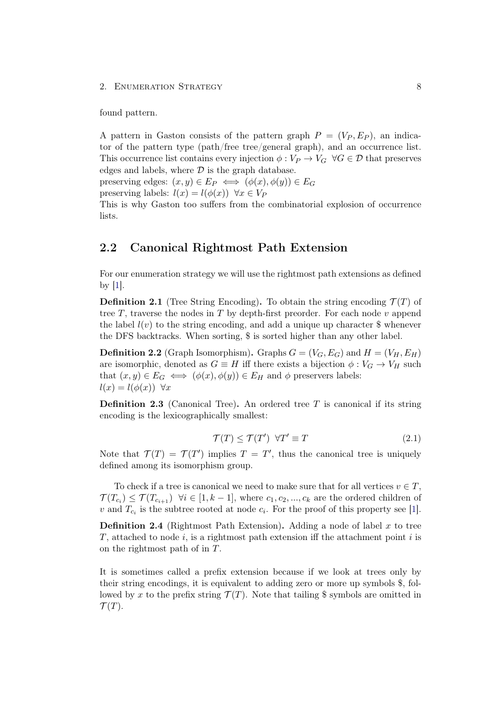#### 2. ENUMERATION STRATEGY 8

found pattern.

A pattern in Gaston consists of the pattern graph  $P = (V_P, E_P)$ , an indicator of the pattern type (path/free tree/general graph), and an occurrence list. This occurrence list contains every injection  $\phi: V_P \to V_G \ \forall G \in \mathcal{D}$  that preserves edges and labels, where  $\mathcal D$  is the graph database.

preserving edges:  $(x, y) \in E_P \iff (\phi(x), \phi(y)) \in E_G$ 

preserving labels:  $l(x) = l(\phi(x)) \ \forall x \in V_P$ 

This is why Gaston too suffers from the combinatorial explosion of occurrence lists.

# <span id="page-12-0"></span>2.2 Canonical Rightmost Path Extension

For our enumeration strategy we will use the rightmost path extensions as defined by [\[1\]](#page-32-1).

**Definition 2.1** (Tree String Encoding). To obtain the string encoding  $\mathcal{T}(T)$  of tree T, traverse the nodes in T by depth-first preorder. For each node v append the label  $l(v)$  to the string encoding, and add a unique up character  $\frac{1}{2}$  whenever the DFS backtracks. When sorting, \$ is sorted higher than any other label.

**Definition 2.2** (Graph Isomorphism). Graphs  $G = (V_G, E_G)$  and  $H = (V_H, E_H)$ are isomorphic, denoted as  $G \equiv H$  iff there exists a bijection  $\phi : V_G \to V_H$  such that  $(x, y) \in E_G \iff (\phi(x), \phi(y)) \in E_H$  and  $\phi$  preservers labels:  $l(x) = l(\phi(x)) \ \forall x$ 

**Definition 2.3** (Canonical Tree). An ordered tree  $T$  is canonical if its string encoding is the lexicographically smallest:

$$
\mathcal{T}(T) \le \mathcal{T}(T') \quad \forall T' \equiv T \tag{2.1}
$$

Note that  $\mathcal{T}(T) = \mathcal{T}(T')$  implies  $T = T'$ , thus the canonical tree is uniquely defined among its isomorphism group.

To check if a tree is canonical we need to make sure that for all vertices  $v \in T$ ,  $\mathcal{T}(T_{c_i}) \leq \mathcal{T}(T_{c_{i+1}})$   $\forall i \in [1, k-1]$ , where  $c_1, c_2, ..., c_k$  are the ordered children of v and  $T_{c_i}$  is the subtree rooted at node  $c_i$ . For the proof of this property see [\[1\]](#page-32-1).

**Definition 2.4** (Rightmost Path Extension). Adding a node of label x to tree T, attached to node i, is a rightmost path extension iff the attachment point i is on the rightmost path of in T.

It is sometimes called a prefix extension because if we look at trees only by their string encodings, it is equivalent to adding zero or more up symbols \$, followed by x to the prefix string  $\mathcal{T}(T)$ . Note that tailing \$ symbols are omitted in  $\mathcal{T}(T)$ .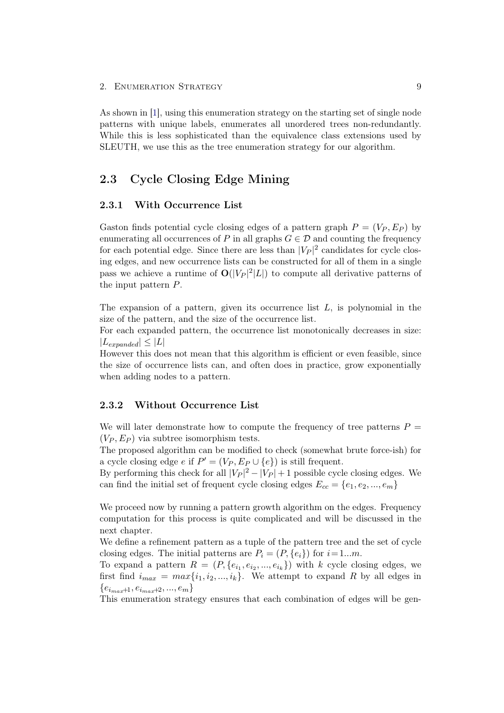As shown in [\[1\]](#page-32-1), using this enumeration strategy on the starting set of single node patterns with unique labels, enumerates all unordered trees non-redundantly. While this is less sophisticated than the equivalence class extensions used by SLEUTH, we use this as the tree enumeration strategy for our algorithm.

# <span id="page-13-0"></span>2.3 Cycle Closing Edge Mining

## <span id="page-13-1"></span>2.3.1 With Occurrence List

Gaston finds potential cycle closing edges of a pattern graph  $P = (V_P, E_P)$  by enumerating all occurrences of P in all graphs  $G \in \mathcal{D}$  and counting the frequency for each potential edge. Since there are less than  $|V_P|^2$  candidates for cycle closing edges, and new occurrence lists can be constructed for all of them in a single pass we achieve a runtime of  $O(|V_P|^2|L|)$  to compute all derivative patterns of the input pattern P.

The expansion of a pattern, given its occurrence list  $L$ , is polynomial in the size of the pattern, and the size of the occurrence list.

For each expanded pattern, the occurrence list monotonically decreases in size:  $|L_{expanded}| \leq |L|$ 

However this does not mean that this algorithm is efficient or even feasible, since the size of occurrence lists can, and often does in practice, grow exponentially when adding nodes to a pattern.

## <span id="page-13-2"></span>2.3.2 Without Occurrence List

We will later demonstrate how to compute the frequency of tree patterns  $P =$  $(V_P, E_P)$  via subtree isomorphism tests.

The proposed algorithm can be modified to check (somewhat brute force-ish) for a cycle closing edge e if  $P' = (V_P, E_P \cup \{e\})$  is still frequent.

By performing this check for all  $|V_P|^2 - |V_P| + 1$  possible cycle closing edges. We can find the initial set of frequent cycle closing edges  $E_{cc} = \{e_1, e_2, ..., e_m\}$ 

We proceed now by running a pattern growth algorithm on the edges. Frequency computation for this process is quite complicated and will be discussed in the next chapter.

We define a refinement pattern as a tuple of the pattern tree and the set of cycle closing edges. The initial patterns are  $P_i = (P, \{e_i\})$  for  $i=1...m$ .

To expand a pattern  $R = (P, \{e_{i_1}, e_{i_2}, ..., e_{i_k}\})$  with k cycle closing edges, we first find  $i_{max} = max\{i_1, i_2, ..., i_k\}$ . We attempt to expand R by all edges in  $\{e_{i_{max}+1}, e_{i_{max}+2}, ..., e_m\}$ 

This enumeration strategy ensures that each combination of edges will be gen-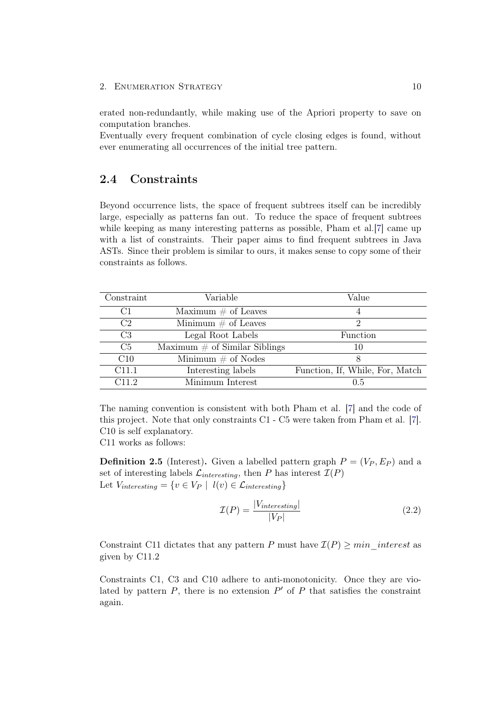#### 2. ENUMERATION STRATEGY 10

erated non-redundantly, while making use of the Apriori property to save on computation branches.

Eventually every frequent combination of cycle closing edges is found, without ever enumerating all occurrences of the initial tree pattern.

# <span id="page-14-0"></span>2.4 Constraints

Beyond occurrence lists, the space of frequent subtrees itself can be incredibly large, especially as patterns fan out. To reduce the space of frequent subtrees while keeping as many interesting patterns as possible, Pham et al.<sup>[\[7\]](#page-32-7)</sup> came up with a list of constraints. Their paper aims to find frequent subtrees in Java ASTs. Since their problem is similar to ours, it makes sense to copy some of their constraints as follows.

| Constraint     | Variable                         | Value                           |
|----------------|----------------------------------|---------------------------------|
| C1             | Maximum $\#$ of Leaves           |                                 |
| C <sub>2</sub> | Minimum $\#$ of Leaves           | 2                               |
| C <sub>3</sub> | Legal Root Labels                | Function                        |
| C <sub>5</sub> | Maximum $\#$ of Similar Siblings | 10                              |
| C10            | Minimum $\#$ of Nodes            |                                 |
| C11.1          | Interesting labels               | Function, If, While, For, Match |
| C11 2          | Minimum Interest                 | 0.5                             |

The naming convention is consistent with both Pham et al. [\[7\]](#page-32-7) and the code of this project. Note that only constraints C1 - C5 were taken from Pham et al. [\[7\]](#page-32-7). C10 is self explanatory.

C11 works as follows:

**Definition 2.5** (Interest). Given a labelled pattern graph  $P = (V_P, E_P)$  and a set of interesting labels  $\mathcal{L}_{interesting}$ , then P has interest  $\mathcal{I}(P)$ Let  $V_{interesting} = \{v \in V_P \mid l(v) \in \mathcal{L}_{interesting}\}\$ 

$$
\mathcal{I}(P) = \frac{|V_{interesting}|}{|V_P|} \tag{2.2}
$$

Constraint C11 dictates that any pattern P must have  $\mathcal{I}(P) \geq min$  interest as given by C11.2

Constraints C1, C3 and C10 adhere to anti-monotonicity. Once they are violated by pattern  $P$ , there is no extension  $P'$  of  $P$  that satisfies the constraint again.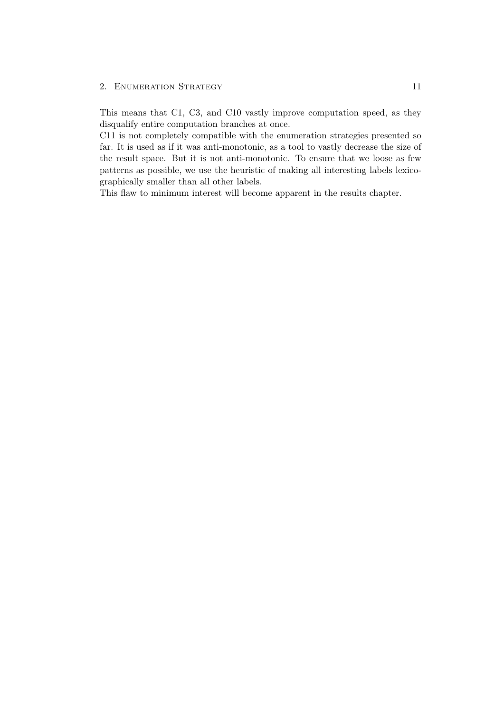## 2. ENUMERATION STRATEGY 11

This means that C1, C3, and C10 vastly improve computation speed, as they disqualify entire computation branches at once.

C11 is not completely compatible with the enumeration strategies presented so far. It is used as if it was anti-monotonic, as a tool to vastly decrease the size of the result space. But it is not anti-monotonic. To ensure that we loose as few patterns as possible, we use the heuristic of making all interesting labels lexicographically smaller than all other labels.

This flaw to minimum interest will become apparent in the results chapter.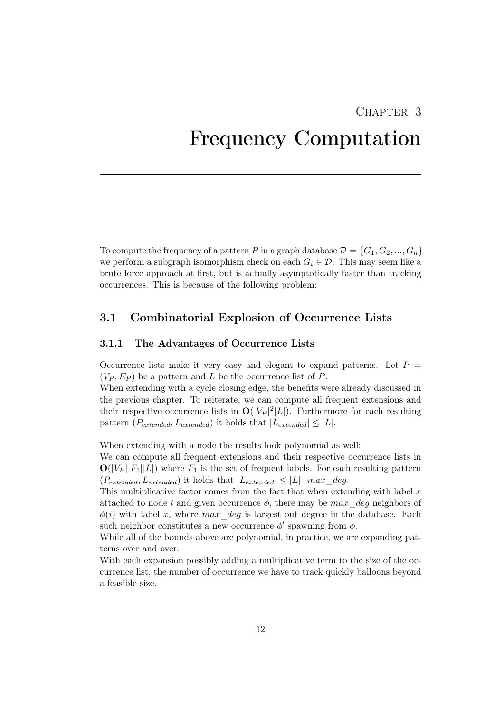# CHAPTER<sub>3</sub>

# <span id="page-16-0"></span>Frequency Computation

To compute the frequency of a pattern P in a graph database  $\mathcal{D} = \{G_1, G_2, ..., G_n\}$ we perform a subgraph isomorphism check on each  $G_i \in \mathcal{D}$ . This may seem like a brute force approach at first, but is actually asymptotically faster than tracking occurrences. This is because of the following problem:

# <span id="page-16-1"></span>3.1 Combinatorial Explosion of Occurrence Lists

## <span id="page-16-2"></span>3.1.1 The Advantages of Occurrence Lists

Occurrence lists make it very easy and elegant to expand patterns. Let  $P =$  $(V_P, E_P)$  be a pattern and L be the occurrence list of P.

When extending with a cycle closing edge, the benefits were already discussed in the previous chapter. To reiterate, we can compute all frequent extensions and their respective occurrence lists in  $O(|V_P|^2|L|)$ . Furthermore for each resulting pattern ( $P_{extended}, L_{extended}$ ) it holds that  $|L_{extended}| \leq |L|$ .

When extending with a node the results look polynomial as well:

We can compute all frequent extensions and their respective occurrence lists in  $\mathbf{O}(|V_P||F_1||L|)$  where  $F_1$  is the set of frequent labels. For each resulting pattern  $(P_{extended}, L_{extended})$  it holds that  $|L_{extended}| \leq |L| \cdot max\_deg$ .

This multiplicative factor comes from the fact that when extending with label  $x$ attached to node i and given occurrence  $\phi$ , there may be max deg neighbors of  $\phi(i)$  with label x, where max deg is largest out degree in the database. Each such neighbor constitutes a new occurrence  $\phi'$  spawning from  $\phi$ .

While all of the bounds above are polynomial, in practice, we are expanding patterns over and over.

With each expansion possibly adding a multiplicative term to the size of the occurrence list, the number of occurrence we have to track quickly balloons beyond a feasible size.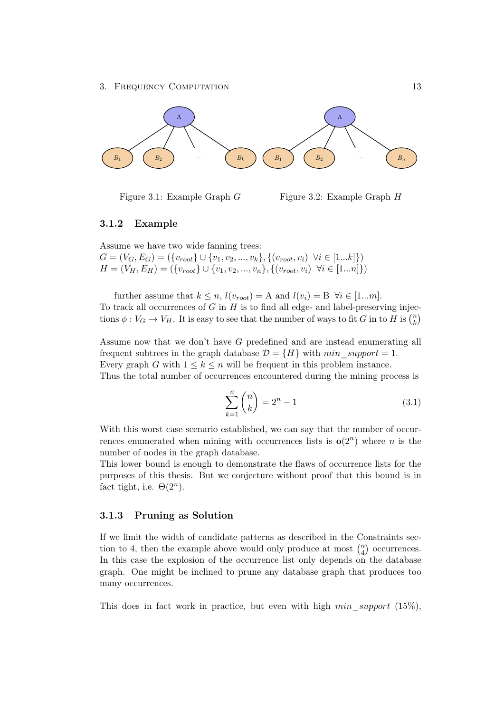

Figure 3.1: Example Graph G

Figure 3.2: Example Graph H

## <span id="page-17-0"></span>3.1.2 Example

Assume we have two wide fanning trees:  $G = (V_G, E_G) = (\{v_{root}\} \cup \{v_1, v_2, ..., v_k\}, \{(v_{root}, v_i) \ \forall i \in [1...k]\})$  $H = (V_H, E_H) = (\{v_{root}\} \cup \{v_1, v_2, ..., v_n\}, \{(v_{root}, v_i) \ \forall i \in [1...n]\})$ 

further assume that  $k \leq n$ ,  $l(v_{root}) = A$  and  $l(v_i) = B \ \forall i \in [1...m]$ . To track all occurrences of  $G$  in  $H$  is to find all edge- and label-preserving injections  $\phi: V_G \to V_H$ . It is easy to see that the number of ways to fit G in to H is  $\binom{n}{k}$  $\binom{n}{k}$ 

Assume now that we don't have G predefined and are instead enumerating all frequent subtrees in the graph database  $\mathcal{D} = \{H\}$  with min support = 1. Every graph G with  $1 \leq k \leq n$  will be frequent in this problem instance. Thus the total number of occurrences encountered during the mining process is

$$
\sum_{k=1}^{n} \binom{n}{k} = 2^{n} - 1\tag{3.1}
$$

With this worst case scenario established, we can say that the number of occurrences enumerated when mining with occurrences lists is  $o(2^n)$  where *n* is the number of nodes in the graph database.

This lower bound is enough to demonstrate the flaws of occurrence lists for the purposes of this thesis. But we conjecture without proof that this bound is in fact tight, i.e.  $\Theta(2^n)$ .

#### <span id="page-17-1"></span>3.1.3 Pruning as Solution

If we limit the width of candidate patterns as described in the Constraints section to 4, then the example above would only produce at most  $\binom{n}{4}$  $\binom{n}{4}$  occurrences. In this case the explosion of the occurrence list only depends on the database graph. One might be inclined to prune any database graph that produces too many occurrences.

This does in fact work in practice, but even with high  $min$  support (15%),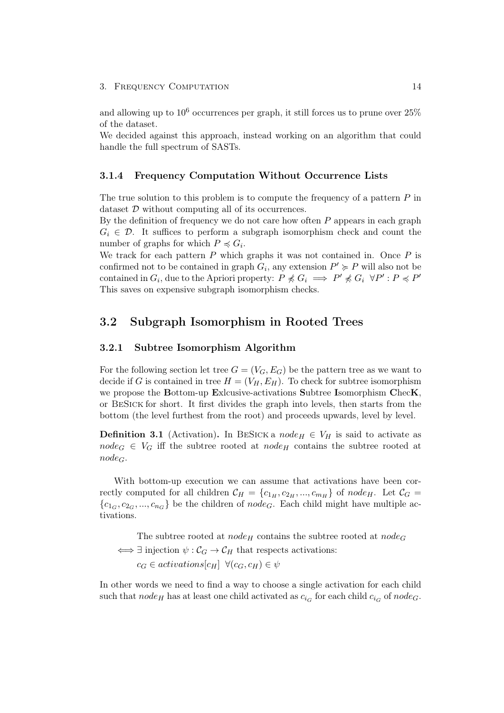and allowing up to  $10^6$  occurrences per graph, it still forces us to prune over  $25\%$ of the dataset.

We decided against this approach, instead working on an algorithm that could handle the full spectrum of SASTs.

## <span id="page-18-0"></span>3.1.4 Frequency Computation Without Occurrence Lists

The true solution to this problem is to compute the frequency of a pattern  $P$  in dataset D without computing all of its occurrences.

By the definition of frequency we do not care how often  $P$  appears in each graph  $G_i \in \mathcal{D}$ . It suffices to perform a subgraph isomorphism check and count the number of graphs for which  $P \preccurlyeq G_i$ .

We track for each pattern  $P$  which graphs it was not contained in. Once  $P$  is confirmed not to be contained in graph  $G_i$ , any extension  $P' \succcurlyeq P$  will also not be contained in  $G_i$ , due to the Apriori property:  $P \nless G_i \implies P' \nless G_i \forall P' : P \preccurlyeq P'$ This saves on expensive subgraph isomorphism checks.

# <span id="page-18-1"></span>3.2 Subgraph Isomorphism in Rooted Trees

## <span id="page-18-2"></span>3.2.1 Subtree Isomorphism Algorithm

For the following section let tree  $G = (V_G, E_G)$  be the pattern tree as we want to decide if G is contained in tree  $H = (V_H, E_H)$ . To check for subtree isomorphism we propose the Bottom-up Exlcusive-activations Subtree Isomorphism ChecK, or BeSick for short. It first divides the graph into levels, then starts from the bottom (the level furthest from the root) and proceeds upwards, level by level.

**Definition 3.1** (Activation). In BESICK a node<sub>H</sub>  $\in V_H$  is said to activate as  $node_G \in V_G$  iff the subtree rooted at  $node_H$  contains the subtree rooted at  $node_G$ .

With bottom-up execution we can assume that activations have been correctly computed for all children  $\mathcal{C}_H = \{c_{1_H}, c_{2_H}, ..., c_{m_H}\}\$  of node<sub>H</sub>. Let  $\mathcal{C}_G =$  ${c_1}_G, c_2_G, ..., c_{n_G}$  be the children of  $node_G$ . Each child might have multiple activations.

The subtree rooted at node<sub>H</sub> contains the subtree rooted at node<sub>G</sub>  $\iff \exists$  injection  $\psi : C_G \to C_H$  that respects activations:  $c_G \in activations[c_H] \ \forall (c_G, c_H) \in \psi$ 

In other words we need to find a way to choose a single activation for each child such that  $node_H$  has at least one child activated as  $c_{i_G}$  for each child  $c_{i_G}$  of  $node_G$ .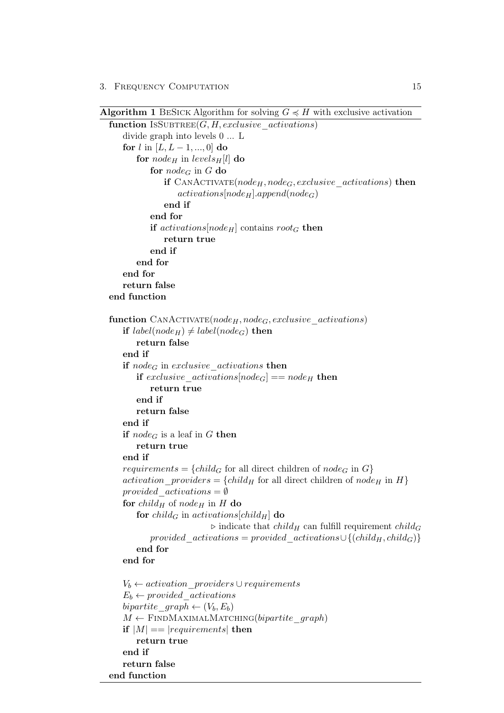Algorithm 1 BESICK Algorithm for solving  $G \preccurlyeq H$  with exclusive activation

```
function ISSUBTREE(G, H, exclusive-activations)divide graph into levels 0 ... L
   for l in [L, L-1, ..., 0] do
       for node<sub>H</sub> in levels<sub>H</sub>[l] do
           for node_G in G do
               if CANACTIVATE(node_H, node_G, exclusive-activations) then
                   activations[node_H].append(node_G)end if
           end for
           if actions[node_H] contains root_G then
               return true
           end if
       end for
   end for
   return false
end function
function \text{CANACTIVATE}(node_H, node_G, exclusive\text{ activations})if label(node_H) \neq label(node_G) then
       return false
   end if
   if node<sub>G</sub> in exclusive activations then
       if exclusive activations |node_G| == node_H then
           return true
       end if
       return false
   end if
   if node<sub>G</sub> is a leaf in G then
       return true
   end if
   requirements = {child<sub>G</sub> for all direct children of node<sub>G</sub> in G}
   activation providers = {child<sub>H</sub> for all direct children of node<sub>H</sub> in H}
   provided \text{activations} = \emptysetfor child_H of node<sub>H</sub> in H do
       for child<sub>G</sub> in activations[child<sub>H</sub>] do
                            \triangleright indicate that child<sub>H</sub> can fulfill requirement child<sub>G</sub>
           provided\_activations = provided\_activations \cup \{(child_H, child_G)\}end for
   end for
   V_b \leftarrow activation\;\;providers \cup requirementsE_b \leftarrow provided \text{ activations}bipartite graph \leftarrow (V_b, E_b)M \leftarrow FINDMAXIMALMATCHING(bipartite_graph)
   if |M| == |requirements| then
       return true
   end if
   return false
end function
```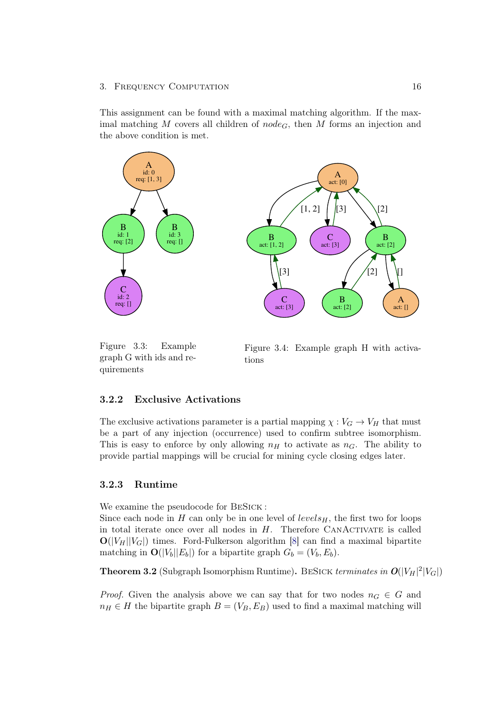This assignment can be found with a maximal matching algorithm. If the maximal matching M covers all children of  $node_G$ , then M forms an injection and the above condition is met.



Figure 3.3: Example graph G with ids and requirements

Figure 3.4: Example graph H with activations

## <span id="page-20-0"></span>3.2.2 Exclusive Activations

The exclusive activations parameter is a partial mapping  $\chi : V_G \to V_H$  that must be a part of any injection (occurrence) used to confirm subtree isomorphism. This is easy to enforce by only allowing  $n_H$  to activate as  $n_G$ . The ability to provide partial mappings will be crucial for mining cycle closing edges later.

## <span id="page-20-1"></span>3.2.3 Runtime

We examine the pseudocode for BeSick :

Since each node in H can only be in one level of  $levels_H$ , the first two for loops in total iterate once over all nodes in  $H$ . Therefore CANACTIVATE is called  $\mathbf{O}(|V_H||V_G|)$  times. Ford-Fulkerson algorithm [\[8\]](#page-32-8) can find a maximal bipartite matching in  $\mathbf{O}(|V_b||E_b|)$  for a bipartite graph  $G_b = (V_b, E_b)$ .

**Theorem 3.2** (Subgraph Isomorphism Runtime). BESICK terminates in  $O(|V_H|^2|V_G|)$ 

*Proof.* Given the analysis above we can say that for two nodes  $n_G \in G$  and  $n_H \in H$  the bipartite graph  $B = (V_B, E_B)$  used to find a maximal matching will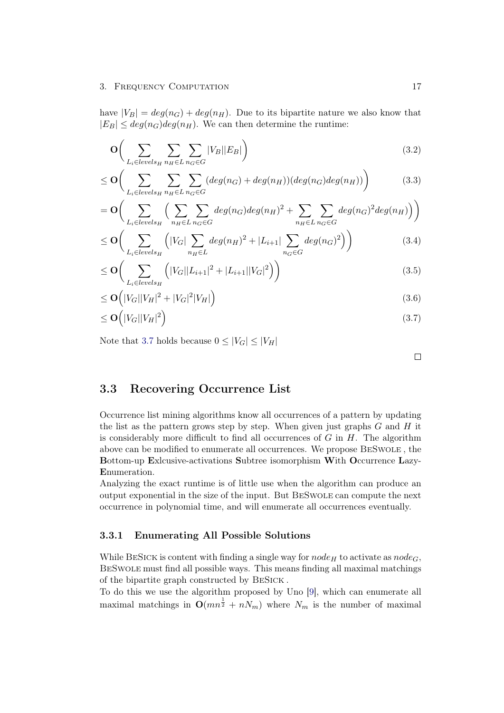have  $|V_B| = deg(n_G) + deg(n_H)$ . Due to its bipartite nature we also know that  $|E_B| \leq deg(n_G)deg(n_H)$ . We can then determine the runtime:

$$
\mathbf{O}\bigg(\sum_{L_i \in levels_H} \sum_{n_H \in L} \sum_{n_G \in G} |V_B||E_B|\bigg) \tag{3.2}
$$

$$
\leq \mathbf{O}\bigg(\sum_{L_i \in levels_H} \sum_{n_H \in L} \sum_{n_G \in G} (deg(n_G) + deg(n_H))(deg(n_G)deg(n_H))\bigg) \tag{3.3}
$$

$$
= \mathbf{O}\bigg(\sum_{L_i \in levels_H} \bigg(\sum_{n_H \in L} \sum_{n_G \in G} deg(n_G)deg(n_H)^2 + \sum_{n_H \in L} \sum_{n_G \in G} deg(n_G)^2 deg(n_H)\bigg)\bigg)
$$

$$
\leq \mathbf{O}\bigg(\sum_{L_i \in levels_H} \left( |V_G| \sum_{n_H \in L} deg(n_H)^2 + |L_{i+1}| \sum_{n_G \in G} deg(n_G)^2 \right)\bigg) \tag{3.4}
$$

$$
\leq \mathbf{O}\bigg(\sum_{L_i \in levels_H} \left( |V_G||L_{i+1}|^2 + |L_{i+1}||V_G|^2 \right) \bigg) \tag{3.5}
$$

$$
\leq \mathbf{O}\left(|V_G||V_H|^2 + |V_G|^2|V_H|\right) \tag{3.6}
$$

$$
\leq \mathbf{O}\left(|V_G||V_H|^2\right) \tag{3.7}
$$

Note that [3.7](#page-21-2) holds because  $0 \leq |V_G| \leq |V_H|$ 

<span id="page-21-2"></span> $\Box$ 

# <span id="page-21-0"></span>3.3 Recovering Occurrence List

Occurrence list mining algorithms know all occurrences of a pattern by updating the list as the pattern grows step by step. When given just graphs  $G$  and  $H$  it is considerably more difficult to find all occurrences of  $G$  in  $H$ . The algorithm above can be modified to enumerate all occurrences. We propose BeSwole , the Bottom-up Exlcusive-activations Subtree isomorphism With Occurrence Lazy-Enumeration.

Analyzing the exact runtime is of little use when the algorithm can produce an output exponential in the size of the input. But BeSwole can compute the next occurrence in polynomial time, and will enumerate all occurrences eventually.

## <span id="page-21-1"></span>3.3.1 Enumerating All Possible Solutions

While BESICK is content with finding a single way for  $node_H$  to activate as  $node_G$ , BeSwole must find all possible ways. This means finding all maximal matchings of the bipartite graph constructed by BeSick .

To do this we use the algorithm proposed by Uno [\[9\]](#page-32-9), which can enumerate all maximal matchings in  $O(mn^{\frac{1}{2}} + nN_m)$  where  $N_m$  is the number of maximal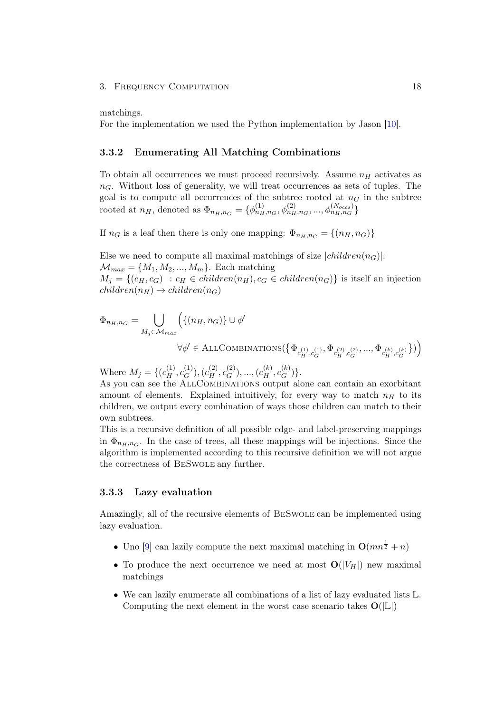matchings.

For the implementation we used the Python implementation by Jason [\[10\]](#page-32-10).

## <span id="page-22-0"></span>3.3.2 Enumerating All Matching Combinations

To obtain all occurrences we must proceed recursively. Assume  $n_H$  activates as  $n<sub>G</sub>$ . Without loss of generality, we will treat occurrences as sets of tuples. The goal is to compute all occurrences of the subtree rooted at  $n<sub>G</sub>$  in the subtree rooted at  $n_H$ , denoted as  $\Phi_{n_H,n_G} = {\phi_{n_H,n_G}^{(1)}, \phi_{n_H,n_G}^{(2)}, ..., \phi_{n_H,n_G}^{(N_{occs})}}$ 

If  $n_G$  is a leaf then there is only one mapping:  $\Phi_{n_H,n_G} = \{(n_H,n_G)\}\$ 

Else we need to compute all maximal matchings of size  $|children(n_G)|$ :  $\mathcal{M}_{max} = \{M_1, M_2, ..., M_m\}$ . Each matching  $M_i = \{(c_H, c_G) : c_H \in children(n_H), c_G \in children(n_G)\}\$ is itself an injection  $children(n_H) \rightarrow children(n_G)$ 

$$
\begin{split} \Phi_{n_H, n_G} = \bigcup_{M_j \in \mathcal{M}_{max}} & \Big( \{ (n_H, n_G) \} \cup \phi' \\ & \forall \phi' \in \text{ALLCOMBINATIONS} \big( \big\{ \Phi_{c_H^{(1)}, c_G^{(1)}}, \Phi_{c_H^{(2)}, c_G^{(2)}}, ..., \Phi_{c_H^{(k)}, c_G^{(k)}} \big\} \big) \Big) \end{split}
$$

Where  $M_j = \{ (c_H^{(1)}, c_G^{(1)})$  $(c_H^{(1)}), (c_H^{(2)}, c_G^{(2)})$  $(c_G^{(2)}),..., (c_H^{(k)},c_G^{(k)})$  $E_G^{(\kappa)}\}$ .

As you can see the AllCombinations output alone can contain an exorbitant amount of elements. Explained intuitively, for every way to match  $n_H$  to its children, we output every combination of ways those children can match to their own subtrees.

This is a recursive definition of all possible edge- and label-preserving mappings in  $\Phi_{n_H, n_G}$ . In the case of trees, all these mappings will be injections. Since the algorithm is implemented according to this recursive definition we will not argue the correctness of BeSwole any further.

### <span id="page-22-1"></span>3.3.3 Lazy evaluation

Amazingly, all of the recursive elements of BeSwole can be implemented using lazy evaluation.

- Uno [\[9\]](#page-32-9) can lazily compute the next maximal matching in  $O(mn^{\frac{1}{2}} + n)$
- To produce the next occurrence we need at most  $O(|V_H|)$  new maximal matchings
- We can lazily enumerate all combinations of a list of lazy evaluated lists L. Computing the next element in the worst case scenario takes  $O(|\mathbb{L}|)$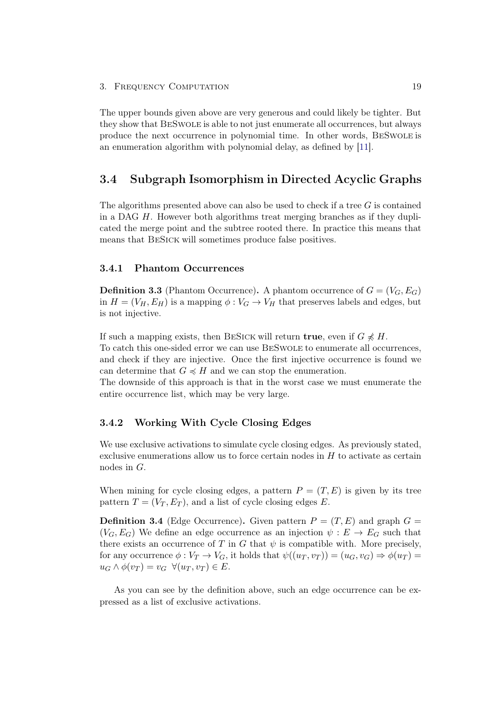The upper bounds given above are very generous and could likely be tighter. But they show that BeSwole is able to not just enumerate all occurrences, but always produce the next occurrence in polynomial time. In other words, BeSwole is an enumeration algorithm with polynomial delay, as defined by [\[11\]](#page-32-11).

# <span id="page-23-0"></span>3.4 Subgraph Isomorphism in Directed Acyclic Graphs

The algorithms presented above can also be used to check if a tree G is contained in a DAG  $H$ . However both algorithms treat merging branches as if they duplicated the merge point and the subtree rooted there. In practice this means that means that BeSick will sometimes produce false positives.

## <span id="page-23-1"></span>3.4.1 Phantom Occurrences

**Definition 3.3** (Phantom Occurrence). A phantom occurrence of  $G = (V_G, E_G)$ in  $H = (V_H, E_H)$  is a mapping  $\phi: V_G \to V_H$  that preserves labels and edges, but is not injective.

If such a mapping exists, then BESICK will return **true**, even if  $G \nless H$ . To catch this one-sided error we can use BeSwole to enumerate all occurrences, and check if they are injective. Once the first injective occurrence is found we can determine that  $G \preccurlyeq H$  and we can stop the enumeration.

The downside of this approach is that in the worst case we must enumerate the entire occurrence list, which may be very large.

## <span id="page-23-2"></span>3.4.2 Working With Cycle Closing Edges

We use exclusive activations to simulate cycle closing edges. As previously stated, exclusive enumerations allow us to force certain nodes in H to activate as certain nodes in G.

When mining for cycle closing edges, a pattern  $P = (T, E)$  is given by its tree pattern  $T = (V_T, E_T)$ , and a list of cycle closing edges E.

**Definition 3.4** (Edge Occurrence). Given pattern  $P = (T, E)$  and graph  $G =$  $(V_G, E_G)$  We define an edge occurrence as an injection  $\psi : E \to E_G$  such that there exists an occurrence of T in G that  $\psi$  is compatible with. More precisely, for any occurrence  $\phi: V_T \to V_G$ , it holds that  $\psi((u_T, v_T)) = (u_G, v_G) \Rightarrow \phi(u_T) =$  $u_G \wedge \phi(v_T) = v_G \ \forall (u_T, v_T) \in E.$ 

As you can see by the definition above, such an edge occurrence can be expressed as a list of exclusive activations.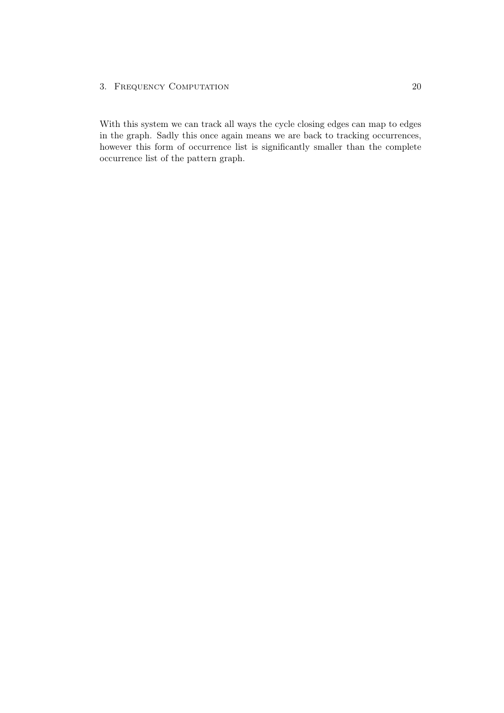With this system we can track all ways the cycle closing edges can map to edges in the graph. Sadly this once again means we are back to tracking occurrences, however this form of occurrence list is significantly smaller than the complete occurrence list of the pattern graph.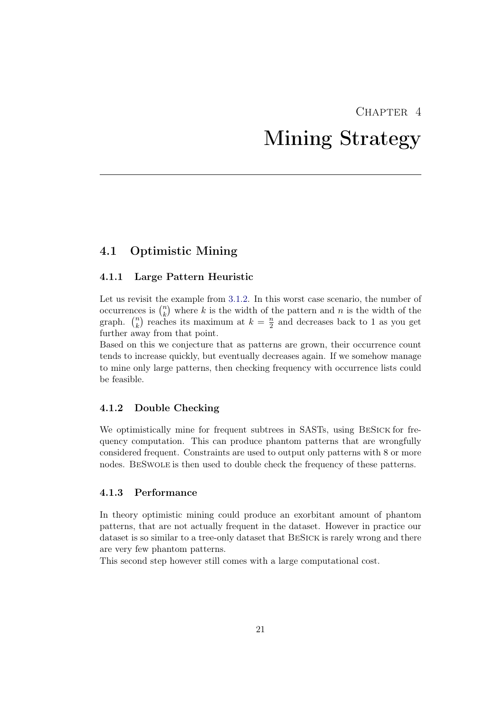# CHAPTER<sub>4</sub>

# Mining Strategy

# <span id="page-25-1"></span><span id="page-25-0"></span>4.1 Optimistic Mining

## <span id="page-25-2"></span>4.1.1 Large Pattern Heuristic

Let us revisit the example from [3.1.2.](#page-17-0) In this worst case scenario, the number of occurrences is  $\binom{n}{k}$  $\binom{n}{k}$  where k is the width of the pattern and n is the width of the graph.  $\binom{n}{k}$  $\binom{n}{k}$  reaches its maximum at  $k = \frac{n}{2}$  $\frac{n}{2}$  and decreases back to 1 as you get further away from that point.

Based on this we conjecture that as patterns are grown, their occurrence count tends to increase quickly, but eventually decreases again. If we somehow manage to mine only large patterns, then checking frequency with occurrence lists could be feasible.

## <span id="page-25-3"></span>4.1.2 Double Checking

We optimistically mine for frequent subtrees in SASTs, using BeSick for frequency computation. This can produce phantom patterns that are wrongfully considered frequent. Constraints are used to output only patterns with 8 or more nodes. BeSwole is then used to double check the frequency of these patterns.

## <span id="page-25-4"></span>4.1.3 Performance

In theory optimistic mining could produce an exorbitant amount of phantom patterns, that are not actually frequent in the dataset. However in practice our dataset is so similar to a tree-only dataset that BESICK is rarely wrong and there are very few phantom patterns.

This second step however still comes with a large computational cost.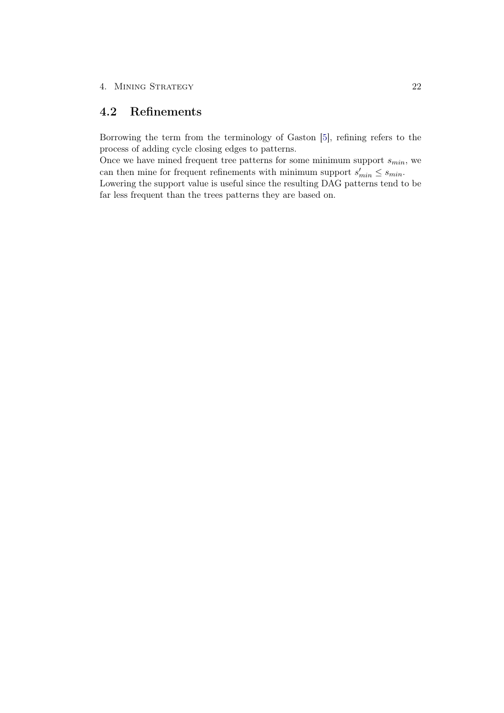# <span id="page-26-0"></span>4.2 Refinements

Borrowing the term from the terminology of Gaston [\[5\]](#page-32-5), refining refers to the process of adding cycle closing edges to patterns.

Once we have mined frequent tree patterns for some minimum support  $s_{min}$ , we can then mine for frequent refinements with minimum support  $s'_{min} \leq s_{min}$ .

Lowering the support value is useful since the resulting DAG patterns tend to be far less frequent than the trees patterns they are based on.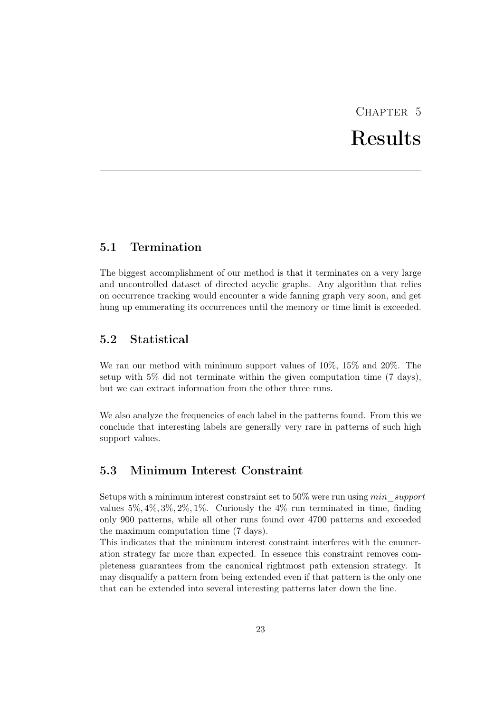# CHAPTER 5 Results

# <span id="page-27-1"></span><span id="page-27-0"></span>5.1 Termination

The biggest accomplishment of our method is that it terminates on a very large and uncontrolled dataset of directed acyclic graphs. Any algorithm that relies on occurrence tracking would encounter a wide fanning graph very soon, and get hung up enumerating its occurrences until the memory or time limit is exceeded.

# <span id="page-27-2"></span>5.2 Statistical

We ran our method with minimum support values of 10%, 15% and 20%. The setup with 5% did not terminate within the given computation time (7 days), but we can extract information from the other three runs.

We also analyze the frequencies of each label in the patterns found. From this we conclude that interesting labels are generally very rare in patterns of such high support values.

# <span id="page-27-3"></span>5.3 Minimum Interest Constraint

Setups with a minimum interest constraint set to  $50\%$  were run using  $min$  support values  $5\%, 4\%, 3\%, 2\%, 1\%$ . Curiously the  $4\%$  run terminated in time, finding only 900 patterns, while all other runs found over 4700 patterns and exceeded the maximum computation time (7 days).

This indicates that the minimum interest constraint interferes with the enumeration strategy far more than expected. In essence this constraint removes completeness guarantees from the canonical rightmost path extension strategy. It may disqualify a pattern from being extended even if that pattern is the only one that can be extended into several interesting patterns later down the line.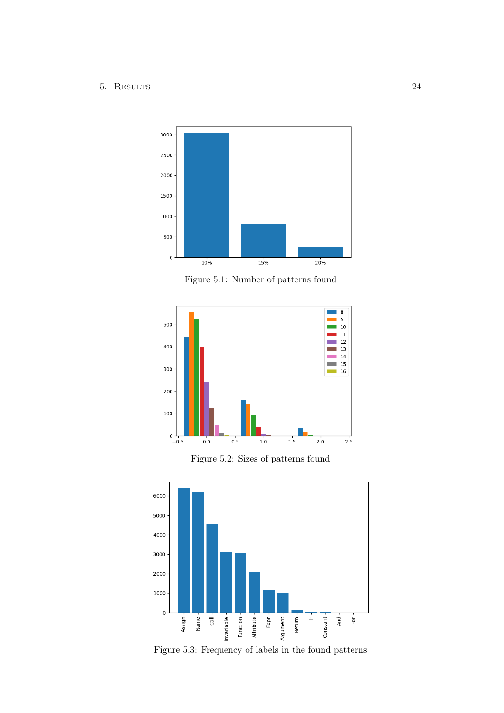## 5. Results 24



Figure 5.1: Number of patterns found



Figure 5.2: Sizes of patterns found



Figure 5.3: Frequency of labels in the found patterns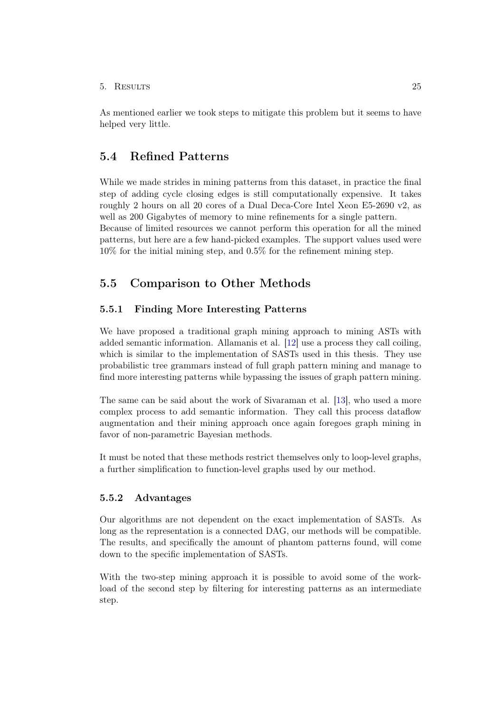## 5. Results 25

As mentioned earlier we took steps to mitigate this problem but it seems to have helped very little.

# <span id="page-29-0"></span>5.4 Refined Patterns

While we made strides in mining patterns from this dataset, in practice the final step of adding cycle closing edges is still computationally expensive. It takes roughly 2 hours on all 20 cores of a Dual Deca-Core Intel Xeon E5-2690 v2, as well as 200 Gigabytes of memory to mine refinements for a single pattern.

Because of limited resources we cannot perform this operation for all the mined patterns, but here are a few hand-picked examples. The support values used were 10% for the initial mining step, and 0.5% for the refinement mining step.

# <span id="page-29-1"></span>5.5 Comparison to Other Methods

## <span id="page-29-2"></span>5.5.1 Finding More Interesting Patterns

We have proposed a traditional graph mining approach to mining ASTs with added semantic information. Allamanis et al. [\[12\]](#page-33-0) use a process they call coiling, which is similar to the implementation of SASTs used in this thesis. They use probabilistic tree grammars instead of full graph pattern mining and manage to find more interesting patterns while bypassing the issues of graph pattern mining.

The same can be said about the work of Sivaraman et al. [\[13\]](#page-33-1), who used a more complex process to add semantic information. They call this process dataflow augmentation and their mining approach once again foregoes graph mining in favor of non-parametric Bayesian methods.

It must be noted that these methods restrict themselves only to loop-level graphs, a further simplification to function-level graphs used by our method.

## <span id="page-29-3"></span>5.5.2 Advantages

Our algorithms are not dependent on the exact implementation of SASTs. As long as the representation is a connected DAG, our methods will be compatible. The results, and specifically the amount of phantom patterns found, will come down to the specific implementation of SASTs.

With the two-step mining approach it is possible to avoid some of the workload of the second step by filtering for interesting patterns as an intermediate step.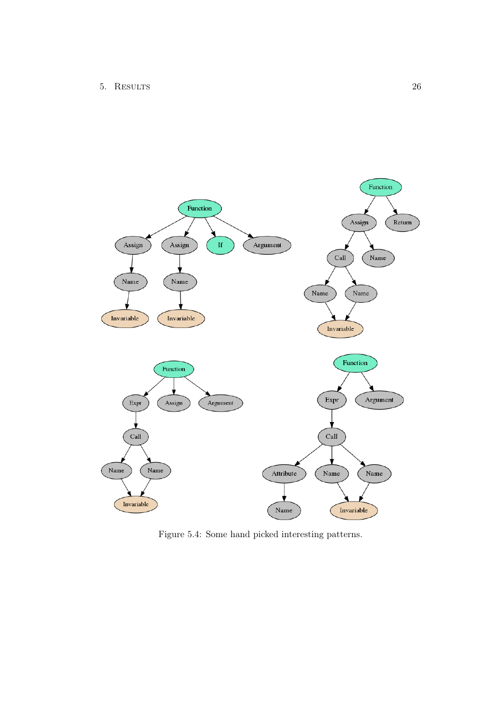

Figure 5.4: Some hand picked interesting patterns.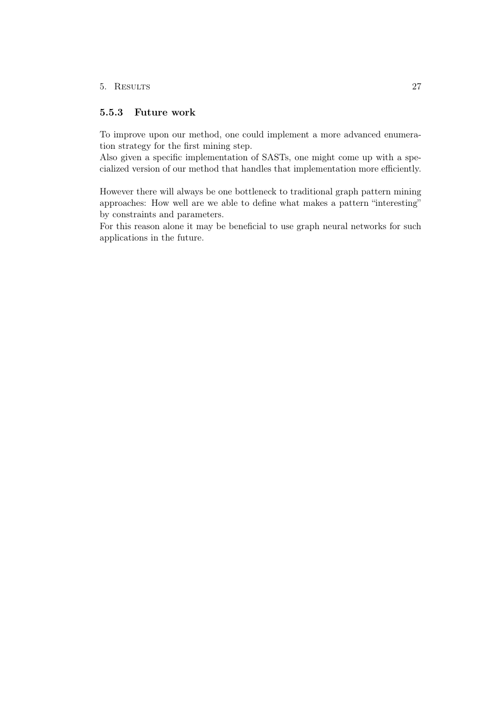## 5. Results 27

## <span id="page-31-0"></span>5.5.3 Future work

To improve upon our method, one could implement a more advanced enumeration strategy for the first mining step.

Also given a specific implementation of SASTs, one might come up with a specialized version of our method that handles that implementation more efficiently.

However there will always be one bottleneck to traditional graph pattern mining approaches: How well are we able to define what makes a pattern "interesting" by constraints and parameters.

For this reason alone it may be beneficial to use graph neural networks for such applications in the future.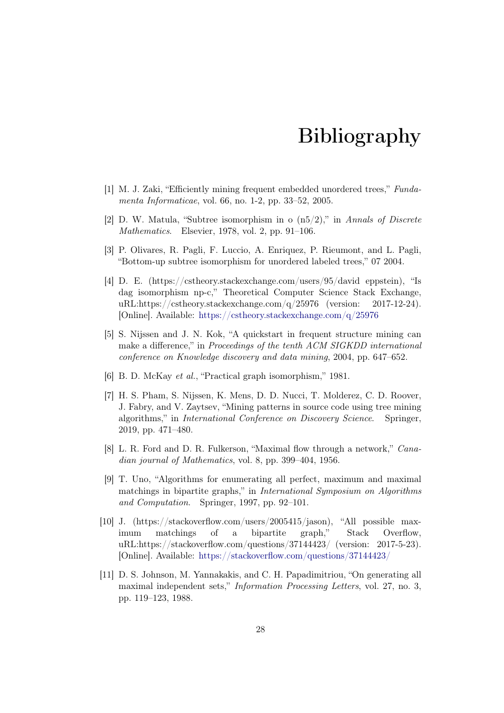# Bibliography

- <span id="page-32-1"></span><span id="page-32-0"></span>[1] M. J. Zaki, "Efficiently mining frequent embedded unordered trees," Fundamenta Informaticae, vol. 66, no. 1-2, pp. 33–52, 2005.
- <span id="page-32-2"></span>[2] D. W. Matula, "Subtree isomorphism in  $\alpha$  (n5/2)," in Annals of Discrete Mathematics. Elsevier, 1978, vol. 2, pp. 91–106.
- <span id="page-32-3"></span>[3] P. Olivares, R. Pagli, F. Luccio, A. Enriquez, P. Rieumont, and L. Pagli, "Bottom-up subtree isomorphism for unordered labeled trees," 07 2004.
- <span id="page-32-4"></span>[4] D. E. (https://cstheory.stackexchange.com/users/95/david eppstein), "Is dag isomorphism np-c," Theoretical Computer Science Stack Exchange, uRL:https://cstheory.stackexchange.com/q/25976 (version:  $2017-12-24$ ). [Online]. Available: <https://cstheory.stackexchange.com/q/25976>
- <span id="page-32-5"></span>[5] S. Nijssen and J. N. Kok, "A quickstart in frequent structure mining can make a difference," in Proceedings of the tenth ACM SIGKDD international conference on Knowledge discovery and data mining, 2004, pp. 647–652.
- <span id="page-32-6"></span>[6] B. D. McKay et al., "Practical graph isomorphism," 1981.
- <span id="page-32-7"></span>[7] H. S. Pham, S. Nijssen, K. Mens, D. D. Nucci, T. Molderez, C. D. Roover, J. Fabry, and V. Zaytsev, "Mining patterns in source code using tree mining algorithms," in International Conference on Discovery Science. Springer, 2019, pp. 471–480.
- <span id="page-32-8"></span>[8] L. R. Ford and D. R. Fulkerson, "Maximal flow through a network," Canadian journal of Mathematics, vol. 8, pp. 399–404, 1956.
- <span id="page-32-9"></span>[9] T. Uno, "Algorithms for enumerating all perfect, maximum and maximal matchings in bipartite graphs," in International Symposium on Algorithms and Computation. Springer, 1997, pp. 92–101.
- <span id="page-32-10"></span>[10] J. (https://stackoverflow.com/users/2005415/jason), "All possible maximum matchings of a bipartite graph," Stack Overflow, uRL:https://stackoverflow.com/questions/37144423/ (version: 2017-5-23). [Online]. Available: <https://stackoverflow.com/questions/37144423/>
- <span id="page-32-11"></span>[11] D. S. Johnson, M. Yannakakis, and C. H. Papadimitriou, "On generating all maximal independent sets," Information Processing Letters, vol. 27, no. 3, pp. 119–123, 1988.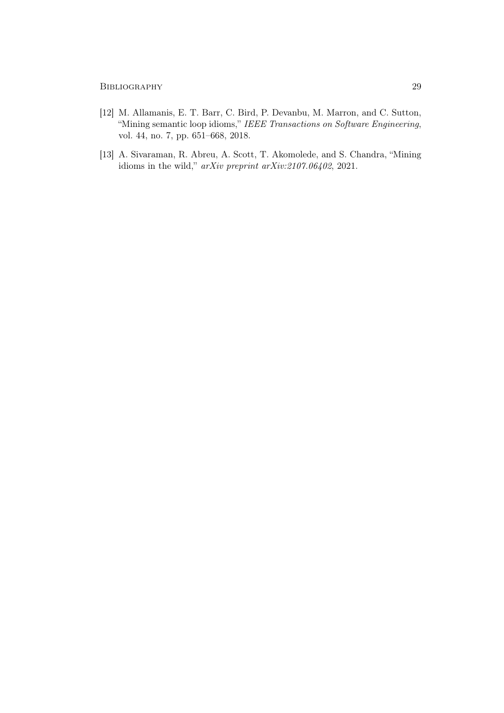- <span id="page-33-0"></span>[12] M. Allamanis, E. T. Barr, C. Bird, P. Devanbu, M. Marron, and C. Sutton, "Mining semantic loop idioms," IEEE Transactions on Software Engineering, vol. 44, no. 7, pp. 651–668, 2018.
- <span id="page-33-1"></span>[13] A. Sivaraman, R. Abreu, A. Scott, T. Akomolede, and S. Chandra, "Mining idioms in the wild," arXiv preprint arXiv:2107.06402, 2021.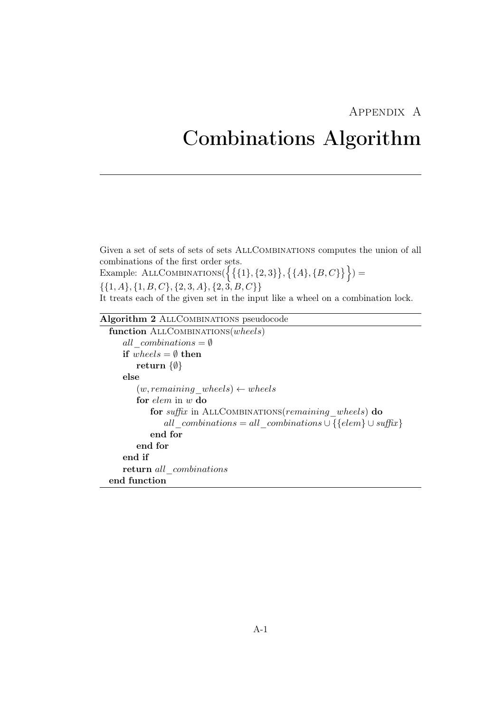# Appendix A

# <span id="page-34-0"></span>Combinations Algorithm

Given a set of sets of sets of sets AllCombinations computes the union of all combinations of the first order sets.

Example: ALLCOMBINATIONS( $\{\{\{1\},\{2,3\}\},\{\{A\},\{B,C\}\}\}\$  $\{\{1, A\}, \{1, B, C\}, \{2, 3, A\}, \{2, 3, B, C\}\}\$ 

It treats each of the given set in the input like a wheel on a combination lock.

# Algorithm 2 AllCombinations pseudocode

```
function ALLCOMBINATIONS(wheels)
   all combinations = \emptysetif wheels = \emptyset then
      return {∅}
   else
      (w, remaining\_wheels) \leftarrow wheelsfor elem in w do
          for suffix in ALLCOMBINATIONS(remaining wheels) do
             all_combinations = all_combinations \cup {{elem} \cup suffix}
          end for
      end for
   end if
   return all combinations
end function
```